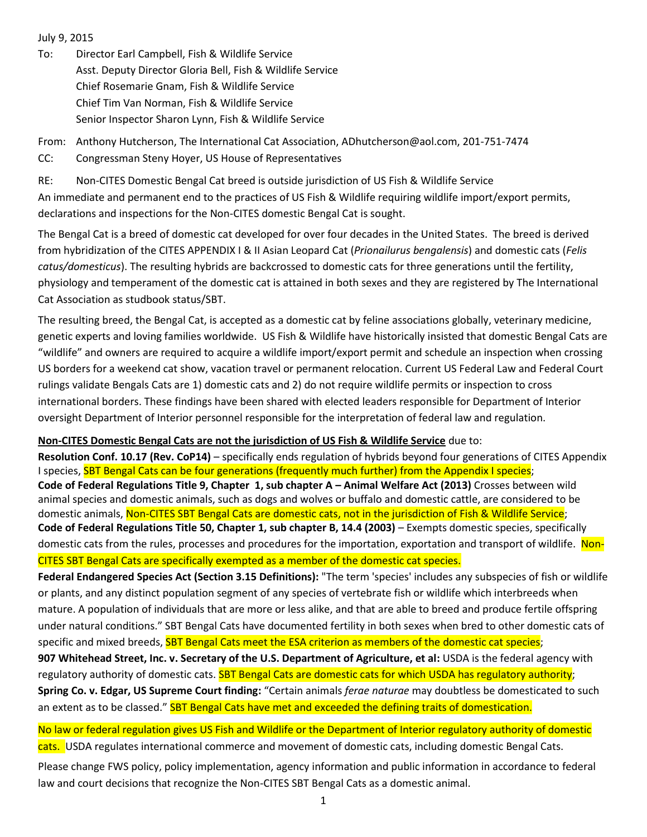### July 9, 2015

To: Director Earl Campbell, Fish & Wildlife Service Asst. Deputy Director Gloria Bell, Fish & Wildlife Service Chief Rosemarie Gnam, Fish & Wildlife Service Chief Tim Van Norman, Fish & Wildlife Service Senior Inspector Sharon Lynn, Fish & Wildlife Service

From: Anthony Hutcherson, The International Cat Association, ADhutcherson@aol.com, 201-751-7474 CC: Congressman Steny Hoyer, US House of Representatives

RE: Non-CITES Domestic Bengal Cat breed is outside jurisdiction of US Fish & Wildlife Service An immediate and permanent end to the practices of US Fish & Wildlife requiring wildlife import/export permits, declarations and inspections for the Non-CITES domestic Bengal Cat is sought.

The Bengal Cat is a breed of domestic cat developed for over four decades in the United States. The breed is derived from hybridization of the CITES APPENDIX I & II Asian Leopard Cat (*Prionailurus bengalensis*) and domestic cats (*Felis catus/domesticus*). The resulting hybrids are backcrossed to domestic cats for three generations until the fertility, physiology and temperament of the domestic cat is attained in both sexes and they are registered by The International Cat Association as studbook status/SBT.

The resulting breed, the Bengal Cat, is accepted as a domestic cat by feline associations globally, veterinary medicine, genetic experts and loving families worldwide. US Fish & Wildlife have historically insisted that domestic Bengal Cats are "wildlife" and owners are required to acquire a wildlife import/export permit and schedule an inspection when crossing US borders for a weekend cat show, vacation travel or permanent relocation. Current US Federal Law and Federal Court rulings validate Bengals Cats are 1) domestic cats and 2) do not require wildlife permits or inspection to cross international borders. These findings have been shared with elected leaders responsible for Department of Interior oversight Department of Interior personnel responsible for the interpretation of federal law and regulation.

## **Non-CITES Domestic Bengal Cats are not the jurisdiction of US Fish & Wildlife Service** due to:

**Resolution Conf. 10.17 (Rev. CoP14)** – specifically ends regulation of hybrids beyond four generations of CITES Appendix I species, SBT Bengal Cats can be four generations (frequently much further) from the Appendix I species; **Code of Federal Regulations Title 9, Chapter 1, sub chapter A – Animal Welfare Act (2013)** Crosses between wild animal species and domestic animals, such as dogs and wolves or buffalo and domestic cattle, are considered to be domestic animals, Non-CITES SBT Bengal Cats are domestic cats, not in the jurisdiction of Fish & Wildlife Service; **Code of Federal Regulations Title 50, Chapter 1, sub chapter B, 14.4 (2003)** – Exempts domestic species, specifically domestic cats from the rules, processes and procedures for the importation, exportation and transport of wildlife. Non-CITES SBT Bengal Cats are specifically exempted as a member of the domestic cat species.

**Federal Endangered Species Act (Section 3.15 Definitions):** "The term 'species' includes any subspecies of fish or wildlife or plants, and any distinct population segment of any species of vertebrate fish or wildlife which interbreeds when mature. A population of individuals that are more or less alike, and that are able to breed and produce fertile offspring under natural conditions." SBT Bengal Cats have documented fertility in both sexes when bred to other domestic cats of specific and mixed breeds, **SBT Bengal Cats meet the ESA criterion as members of the domestic cat species**; **907 Whitehead Street, Inc. v. Secretary of the U.S. Department of Agriculture, et al:** USDA is the federal agency with regulatory authority of domestic cats. SBT Bengal Cats are domestic cats for which USDA has regulatory authority: **Spring Co. v. Edgar, US Supreme Court finding:** "Certain animals *ferae naturae* may doubtless be domesticated to such an extent as to be classed." SBT Bengal Cats have met and exceeded the defining traits of domestication.

No law or federal regulation gives US Fish and Wildlife or the Department of Interior regulatory authority of domestic cats. USDA regulates international commerce and movement of domestic cats, including domestic Bengal Cats.

Please change FWS policy, policy implementation, agency information and public information in accordance to federal law and court decisions that recognize the Non-CITES SBT Bengal Cats as a domestic animal.